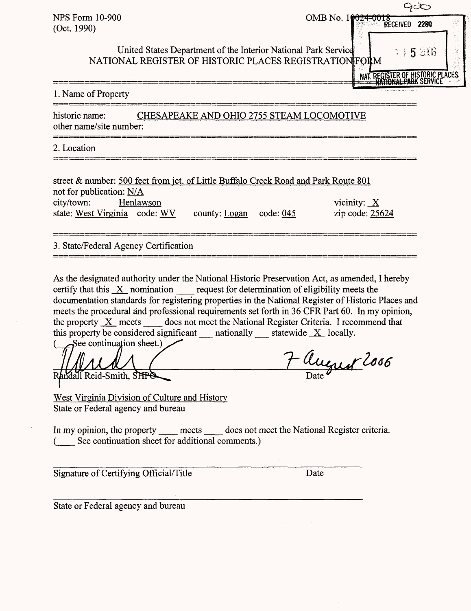|                                                                                                                                                                                                | 400                                                       |
|------------------------------------------------------------------------------------------------------------------------------------------------------------------------------------------------|-----------------------------------------------------------|
| <b>NPS Form 10-900</b><br>(Oct. 1990)                                                                                                                                                          | OMB No. 10024-0018                                        |
| United States Department of the Interior National Park Service<br>NATIONAL REGISTER OF HISTORIC PLACES REGISTRATIONFORM                                                                        | $\approx$ $\pm$ 5 2006<br>NAT REGISTER OF HISTORIC PLACES |
| 1. Name of Property                                                                                                                                                                            |                                                           |
| historic name:<br>other name/site number:                                                                                                                                                      | CHESAPEAKE AND OHIO 2755 STEAM LOCOMOTIVE                 |
| 2. Location                                                                                                                                                                                    |                                                           |
| street & number: 500 feet from jct. of Little Buffalo Creek Road and Park Route 801<br>not for publication: $N/A$<br>city/town:<br>Henlawson<br>state: West Virginia code: WV<br>county: Logan | vicinity: $X$<br>code: $045$<br>zip code: 25624           |
| 3. State/Federal Agency Certification                                                                                                                                                          |                                                           |
|                                                                                                                                                                                                |                                                           |

As the designated authority under the National Historic Preservation Act, as amended, I hereby certify that this  $X$  nomination request for determination of eligibility meets the documentation standards for registering properties in the National Register of Historic Places and meets the procedural and professional requirements set forth in 36 CFR Part 60. In my opinion, the property X meets \_\_\_\_\_ does not meet the National Register Criteria. I recommend that this property be considered significant  $\text{matrix}$  and  $\text{matrix}$  statewide  $X$  locally.

See continuation sheet.) Randall Reid-Smith, SHPO

West Virginia Division of Culture and History State or Federal agency and bureau

In my opinion, the property \_\_\_\_\_ meets \_\_\_\_\_ does not meet the National Register criteria. See continuation sheet for additional comments.)

Signature of Certifying Official/Title Date

State or Federal agency and bureau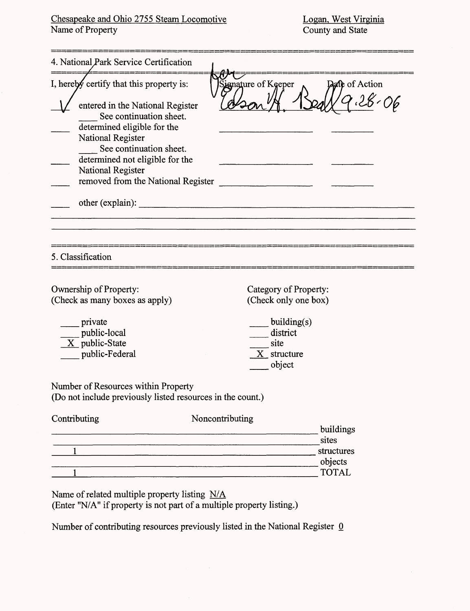Chesapeake and Ohio 2755 Steam Locomotive Name of Property

Logan, West Virginia County and State

| 4. National Park Service Certification                                                                                                                                                                                                                                                                   |                                                            |
|----------------------------------------------------------------------------------------------------------------------------------------------------------------------------------------------------------------------------------------------------------------------------------------------------------|------------------------------------------------------------|
| I, hereby certify that this property is:<br>entered in the National Register<br>See continuation sheet.<br>determined eligible for the<br>National Register<br>See continuation sheet.<br>determined not eligible for the<br>National Register<br>removed from the National Register<br>other (explain): | ignature of Keeper<br>Dafe of Action<br>28-06              |
| 5. Classification<br>Ownership of Property:<br>(Check as many boxes as apply)                                                                                                                                                                                                                            | Category of Property:<br>(Check only one box)              |
| private<br>public-local<br>X public-State<br>public-Federal                                                                                                                                                                                                                                              | building(s)<br>district<br>site<br>X structure<br>object   |
| Number of Resources within Property                                                                                                                                                                                                                                                                      | (Do not include previously listed resources in the count.) |
| Contributing                                                                                                                                                                                                                                                                                             | Noncontributing<br>buildings<br>sites<br>structures        |
|                                                                                                                                                                                                                                                                                                          | objects<br><b>TOTAL</b>                                    |

Name of related multiple property listing N/A (Enter "N/A" if property is not part of a multiple property listing.)

Number of contributing resources previously listed in the National Register  $\overline{0}$ 

 $\sim$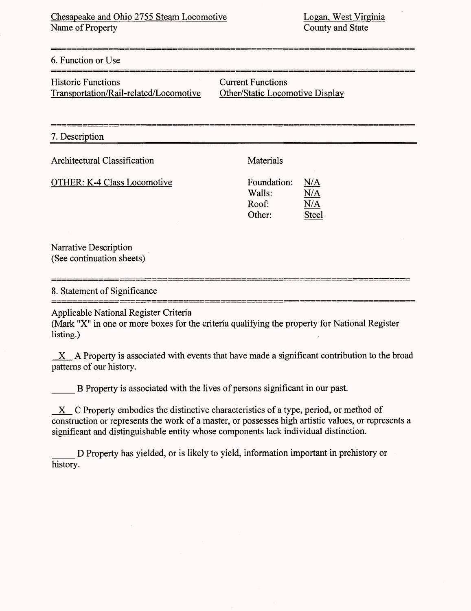Chesapeake and Ohio 2755 Steam Locomotive Name of Property

Logan, West Virginia County and State

#### 6. Function or Use

| <b>Historic Functions</b>              |  |
|----------------------------------------|--|
| Transportation/Rail-related/Locomotive |  |

**Current Functions** Other/Static Locomotive Display

#### 7. Description

Architectural Classification

**Materials** 

OTHER: K-4 Class Locomotive

Foundation: N/A Walls: N/A Roof: N/A Other: Steel

Narrative Description (See continuation sheets)

#### 8. Statement of Significance

Applicable National Register Criteria

(Mark "X" in one or more boxes for the criteria qualifying the property for National Register listing.)

X A Property is associated with events that have made a significant contribution to the broad patterns of our history.

\_\_\_ B Property is associated with the lives of persons significant in our past.

 $X$  C Property embodies the distinctive characteristics of a type, period, or method of construction or represents the work of a master, or possesses high artistic values, or represents a significant and distinguishable entity whose components lack individual distinction.

D Property has yielded, or is likely to yield, information important in prehistory or history.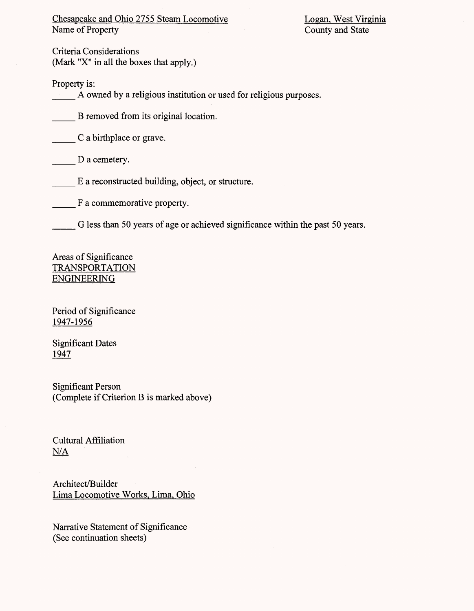Chesapeake and Ohio 2755 Steam Locomotive Logan, West Virginia<br>
Name of Property County and State

County and State

Criteria Considerations (Mark "X" in all the boxes that apply.)

Property is:

\_\_\_ A owned by a religious institution or used for religious purposes.

B removed from its original location.

C a birthplace or grave.

D a cemetery.

E a reconstructed building, object, or structure.

F a commemorative property.

G less than 50 years of age or achieved significance within the past 50 years.

Areas of Significance TRANSPORTATION ENGINEERING

Period of Significance 1947-1956

Significant Dates 1947

Significant Person (Complete if Criterion B is marked above)

Cultural Affiliation N/A

Architect/Builder Lima Locomotive Works, Lima, Ohio

Narrative Statement of Significance (See continuation sheets)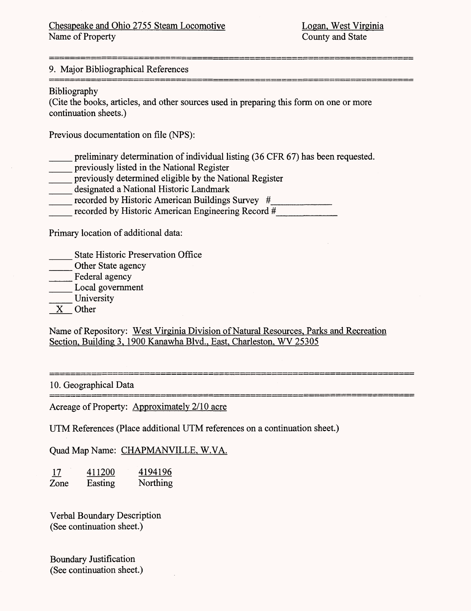## 9. Major Bibliographical References

#### Bibliography

(Cite the books, articles, and other sources used in preparing this form on one or more continuation sheets.)

Previous documentation on file (NPS):

preliminary determination of individual listing (36 CFR 67) has been requested.

- previously listed in the National Register
- \_\_\_ previously determined eligible by the National Register
- \_\_\_ designated a National Historic Landmark
- \_\_\_ recorded by Historic American Buildings Survey *#\_\_\_\_\_\_\_\_\_\_\_\_\_*
- *\_\_\_\_\_* recorded by Historic American Engineering Record *#\_*

Primary location of additional data:

| <b>State Historic Preservation Office</b> |  |  |
|-------------------------------------------|--|--|
|-------------------------------------------|--|--|

- Other State agency
- \_\_\_ Federal agency
- \_\_\_ Local government
- \_\_\_ University

X Other

Name of Repository: West Virginia Division of Natural Resources, Parks and Recreation Section, Building 3, 1900 Kanawha Blvd., East, Charleston, WV 25305

#### 10. Geographical Data

Acreage of Property: Approximately 2/10 acre

UTM References (Place additional UTM references on a continuation sheet.)

Quad Map Name: CHAPMANVILLE, W.VA.

17 411200 4194196 Zone Easting Northing

Verbal Boundary Description (See continuation sheet.)

Boundary Justification (See continuation sheet.)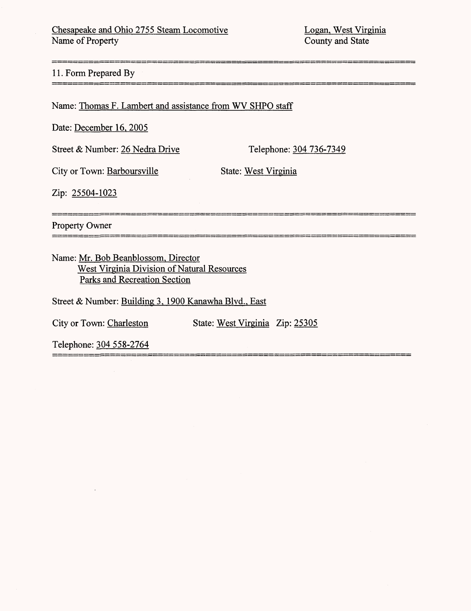#### 11. Form Prepared By

#### Name: Thomas F. Lambert and assistance from WV SHPO staff

Date: December 16, 2005

Street & Number: 26 Nedra Drive Telephone: 304 736-7349

City or Town: Barboursville State: West Virginia

.<br>2002 - Anne Armee Henry House, Anne Anna ann an Canada ann an Cèiteach ann an Cèiteach ann an Cèiteach ann an

Zip: 25504-1023

Property Owner

Name: Mr. Bob Beanblossom, Director West Virginia Division of Natural Resources Parks and Recreation Section

Street & Number: Building 3, 1900 Kanawha Blvd., East

City or Town: Charleston State: West Virginia Zip: 25305

Telephone: 304 558-2764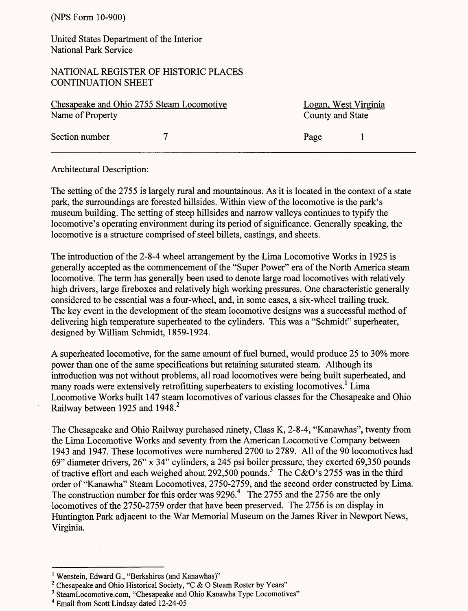United States Department of the Interior National Park Service

### NATIONAL REGISTER OF HISTORIC PLACES CONTINUATION SHEET

| Chesapeake and Ohio 2755 Steam Locomotive |  |                  | Logan, West Virginia |  |  |
|-------------------------------------------|--|------------------|----------------------|--|--|
| Name of Property                          |  | County and State |                      |  |  |
| Section number                            |  | Page             |                      |  |  |
|                                           |  |                  |                      |  |  |

Architectural Description:

The setting of the 2755 is largely rural and mountainous. As it is located in the context of a state park, the surroundings are forested hillsides. Within view of the locomotive is the park's museum building. The setting of steep hillsides and narrow valleys continues to typify the locomotive's operating environment during its period of significance. Generally speaking, the locomotive is a structure comprised of steel billets, castings, and sheets.

The introduction of the 2-8-4 wheel arrangement by the Lima Locomotive Works in 1925 is generally accepted as the commencement of the "Super Power" era of the North America steam locomotive. The term has generally been used to denote large road locomotives with relatively high drivers, large fireboxes and relatively high working pressures. One characteristic generally considered to be essential was a four-wheel, and, in some cases, a six-wheel trailing truck. The key event in the development of the steam locomotive designs was a successful method of delivering high temperature superheated to the cylinders. This was a "Schmidt" superheater, designed by William Schmidt, 1859-1924.

A superheated locomotive, for the same amount of fuel burned, would produce 25 to 30% more power than one of the same specifications but retaining saturated steam. Although its introduction was not without problems, all road locomotives were being built superheated, and many roads were extensively retrofitting superheaters to existing locomotives.<sup>1</sup> Lima Locomotive Works built 147 steam locomotives of various classes for the Chesapeake and Ohio Railway between 1925 and 1948.<sup>2</sup>

The Chesapeake and Ohio Railway purchased ninety, Class K, 2-8-4, "Kanawhas", twenty from the Lima Locomotive Works and seventy from the American Locomotive Company between 1943 and 1947. These locomotives were numbered 2700 to 2789. All of the 90 locomotives had 69" diameter drivers, 26" x 34" cylinders, a 245 psi boiler pressure, they exerted 69,350 pounds of tractive effort and each weighed about 292,500 pounds.<sup>3</sup> The C&O's 2755 was in the third order of "Kanawha" Steam Locomotives, 2750-2759, and the second order constructed by Lima. The construction number for this order was 9296.<sup>4</sup> The 2755 and the 2756 are the only locomotives of the 2750-2759 order that have been preserved. The 2756 is on display in Huntington Park adjacent to the War Memorial Museum on the James River in Newport News, Virginia.

<sup>&</sup>lt;sup>1</sup> Wenstein, Edward G., "Berkshires (and Kanawhas)"

<sup>&</sup>lt;sup>2</sup> Chesapeake and Ohio Historical Society, "C & O Steam Roster by Years"

<sup>&</sup>lt;sup>3</sup> SteamLocomotive.com, "Chesapeake and Ohio Kanawha Type Locomotives"

<sup>4</sup> Email from Scott Lindsay dated 12-24-05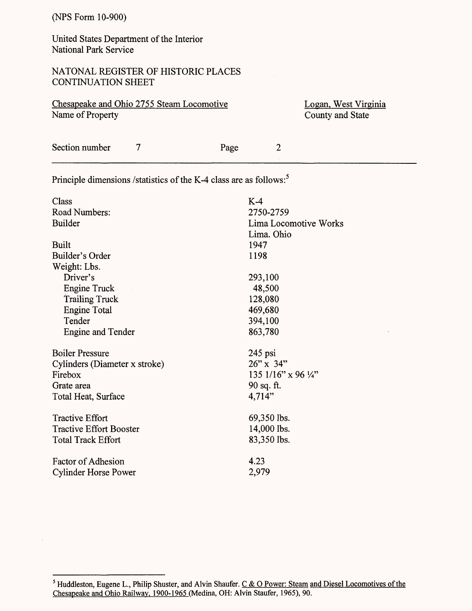United States Department of the Interior National Park Service

### NATONAL REGISTER OF HISTORIC PLACES CONTINUATION SHEET

Chesapeake and Ohio 2755 Steam Locomotive Logan, West Virginia Name of Property County and State

| Section number |  | Page |  |
|----------------|--|------|--|
|----------------|--|------|--|

Principle dimensions /statistics of the K-4 class are as follows:<sup>5</sup>

| Class                          | $K-4$                          |
|--------------------------------|--------------------------------|
| Road Numbers:                  | 2750-2759                      |
| <b>Builder</b>                 | Lima Locomotive Works          |
|                                | Lima. Ohio                     |
| Built                          | 1947                           |
| Builder's Order                | 1198                           |
| Weight: Lbs.                   |                                |
| Driver's                       | 293,100                        |
| <b>Engine Truck</b>            | 48,500                         |
| <b>Trailing Truck</b>          | 128,080                        |
| <b>Engine Total</b>            | 469,680                        |
| Tender                         | 394,100                        |
| <b>Engine and Tender</b>       | 863,780                        |
| <b>Boiler Pressure</b>         | 245 psi                        |
| Cylinders (Diameter x stroke)  | $26'' \times 34''$             |
| Firebox                        | 135 1/16" x 96 $\frac{1}{4}$ " |
| Grate area                     | $90$ sq. ft.                   |
| Total Heat, Surface            | 4,714"                         |
| <b>Tractive Effort</b>         | 69,350 lbs.                    |
| <b>Tractive Effort Booster</b> | 14,000 lbs.                    |
| <b>Total Track Effort</b>      | 83,350 lbs.                    |
| <b>Factor of Adhesion</b>      | 4.23                           |
| <b>Cylinder Horse Power</b>    | 2,979                          |

<sup>&</sup>lt;sup>5</sup> Huddleston, Eugene L., Philip Shuster, and Alvin Shaufer. C & O Power: Steam and Diesel Locomotives of the Chesapeake and Ohio Railway. 1900-1965 (Medina, OH: Alvin Staufer, 1965), 90.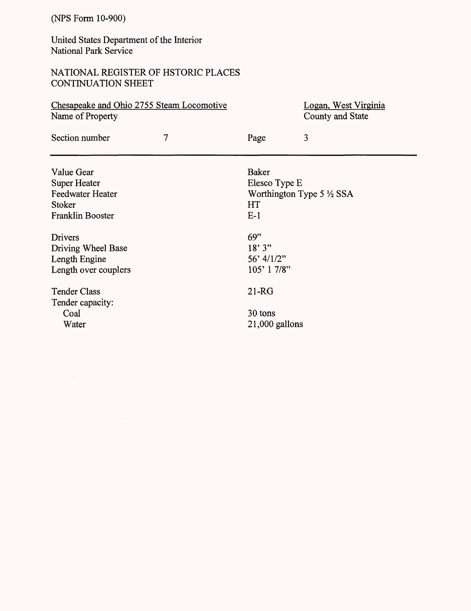United States Department of the Interior National Park Service

# NATIONAL REGISTER OF HSTORIC PLACES CONTINUATION SHEET

| Chesapeake and Ohio 2755 Steam Locomotive |   |                  | Logan, West Virginia                |  |
|-------------------------------------------|---|------------------|-------------------------------------|--|
| Name of Property                          |   | County and State |                                     |  |
| Section number                            | 7 | Page             | 3                                   |  |
| Value Gear                                |   | <b>Baker</b>     |                                     |  |
| <b>Super Heater</b>                       |   | Elesco Type E    |                                     |  |
| <b>Feedwater Heater</b>                   |   |                  | Worthington Type $5\frac{1}{2}$ SSA |  |
| <b>Stoker</b>                             |   | <b>HT</b>        |                                     |  |
| Franklin Booster                          |   | $E-1$            |                                     |  |
| Drivers                                   |   | 69"              |                                     |  |
| Driving Wheel Base                        |   | 18'3"            |                                     |  |
| Length Engine                             |   | $56'$ 4/1/2"     |                                     |  |
| Length over couplers                      |   | $105'$ 1 7/8"    |                                     |  |
| <b>Tender Class</b>                       |   | $21-RG$          |                                     |  |
| Tender capacity:                          |   |                  |                                     |  |
| Coal                                      |   | 30 tons          |                                     |  |
| Water                                     |   | $21,000$ gallons |                                     |  |
|                                           |   |                  |                                     |  |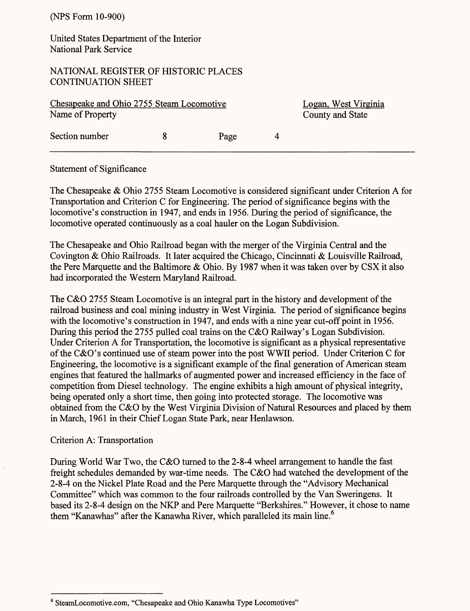United States Department of the Interior National Park Service

### NATIONAL REGISTER OF HISTORIC PLACES CONTINUATION SHEET

| Chesapeake and Ohio 2755 Steam Locomotive | Logan, West Virginia |  |                  |
|-------------------------------------------|----------------------|--|------------------|
| Name of Property                          |                      |  | County and State |
| Section number                            | Page                 |  |                  |

Statement of Significance

The Chesapeake & Ohio 2755 Steam Locomotive is considered significant under Criterion A for Transportation and Criterion C for Engineering. The period of significance begins with the locomotive's construction in 1947, and ends in 1956. During the period of significance, the locomotive operated continuously as a coal hauler on the Logan Subdivision.

The Chesapeake and Ohio Railroad began with the merger of the Virginia Central and the Covington & Ohio Railroads. It later acquired the Chicago, Cincinnati & Louisville Railroad, the Pere Marquette and the Baltimore & Ohio. By 1987 when it was taken over by CSX it also had incorporated the Western Maryland Railroad.

The C&O 2755 Steam Locomotive is an integral part in the history and development of the railroad business and coal mining industry in West Virginia. The period of significance begins with the locomotive's construction in 1947, and ends with a nine year cut-off point in 1956. During this period the 2755 pulled coal trains on the C&O Railway's Logan Subdivision. Under Criterion A for Transportation, the locomotive is significant as a physical representative of the C&O's continued use of steam power into the post WWII period. Under Criterion C for Engineering, the locomotive is a significant example of the final generation of American steam engines that featured the hallmarks of augmented power and increased efficiency in the face of competition from Diesel technology. The engine exhibits a high amount of physical integrity, being operated only a short time, then going into protected storage. The locomotive was obtained from the C&O by the West Virginia Division of Natural Resources and placed by them in March, 1961 in their Chief Logan State Park, near Henlawson.

#### Criterion A: Transportation

During World War Two, the C&O turned to the 2-8-4 wheel arrangement to handle the fast freight schedules demanded by war-time needs. The C&O had watched the development of the 2-8-4 on the Nickel Plate Road and the Pere Marquette through the "Advisory Mechanical Committee" which was common to the four railroads controlled by the Van Sweringens. It based its 2-8-4 design on the NKP and Pere Marquette "Berkshires." However, it chose to name them "Kanawhas" after the Kanawha River, which paralleled its main line.<sup>6</sup>

<sup>6</sup> SteamLocomotive.com, "Chesapeake and Ohio Kanawha Type Locomotives"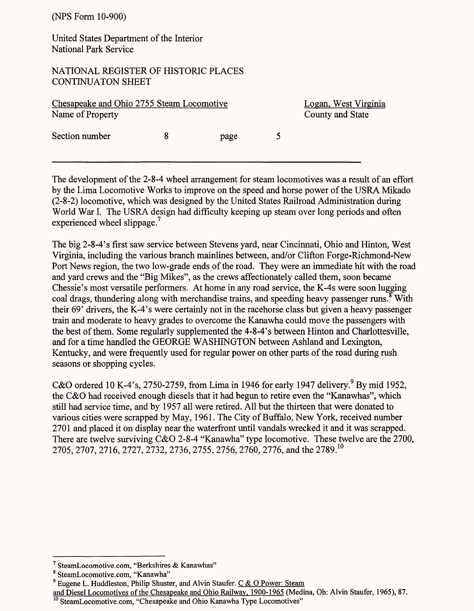United States Department of the Interior National Park Service

#### NATIONAL REGISTER OF HISTORIC PLACES CONTINUATON SHEET

| Chesapeake and Ohio 2755 Steam Locomotive |   |      | Logan, West Virginia |                  |
|-------------------------------------------|---|------|----------------------|------------------|
| Name of Property                          |   |      |                      | County and State |
| Section number                            | 8 | page |                      |                  |

The development of the 2-8-4 wheel arrangement for steam locomotives was a result of an effort by the Lima Locomotive Works to improve on the speed and horse power of the USRA Mikado (2-8-2) locomotive, which was designed by the United States Railroad Administration during World War I. The USRA design had difficulty keeping up steam over long periods and often experienced wheel slippage.<sup>7</sup>

The big 2-8-4's first saw service between Stevens yard, near Cincinnati, Ohio and Hinton, West Virginia, including the various branch mainlines between, and/or Clifton Forge-Richmond-New Port News region, the two low-grade ends of the road. They were an immediate hit with the road and yard crews and the "Big Mikes", as the crews affectionately called them, soon became Chessie's most versatile performers. At home in any road service, the K-4s were soon lugging coal drags, thundering along with merchandise trains, and speeding heavy passenger runs.<sup>8</sup> With their 69' drivers, the K-4's were certainly not in the racehorse class but given a heavy passenger train and moderate to heavy grades to overcome the Kanawha could move the passengers with the best of them. Some regularly supplemented the 4-8-4's between Hinton and Charlottesville, and for a time handled the GEORGE WASHINGTON between Ashland and Lexington, Kentucky, and were frequently used for regular power on other parts of the road during rush seasons or shopping cycles.

C&O ordered 10 K-4's, 2750-2759, from Lima in 1946 for early 1947 delivery.<sup>9</sup> By mid 1952, the C&O had received enough diesels that it had begun to retire even the "Kanawhas", which still had service time, and by 1957 all were retired. All but the thirteen that were donated to various cities were scrapped by May, 1961. The City of Buffalo, New York, received number 2701 and placed it on display near the waterfront until vandals wrecked it and it was scrapped. There are twelve surviving C&O 2-8-4 "Kanawha" type locomotive. These twelve are the 2700, 2705, 2707, 2716, 2727, 2732, 2736, 2755, 2756, 2760, 2776, and the 2789.<sup>10</sup>

<sup>7</sup> SteamLocomotive.com, "Berkshires *&* Kanawhas"

<sup>8</sup> SteamLocomotive.com, "Kanawha"

<sup>&</sup>lt;sup>9</sup> Eugene L. Huddleston, Philip Shuster, and Alvin Staufer. C & O Power: Steam

and Diesel Locomotives of the Chesapeake and Ohio Railway. 1900-1965 (Medina, Oh: Alvin Staufer, 1965), 87.

<sup>&</sup>lt;sup>10</sup> SteamLocomotive.com, "Chesapeake and Ohio Kanawha Type Locomotives"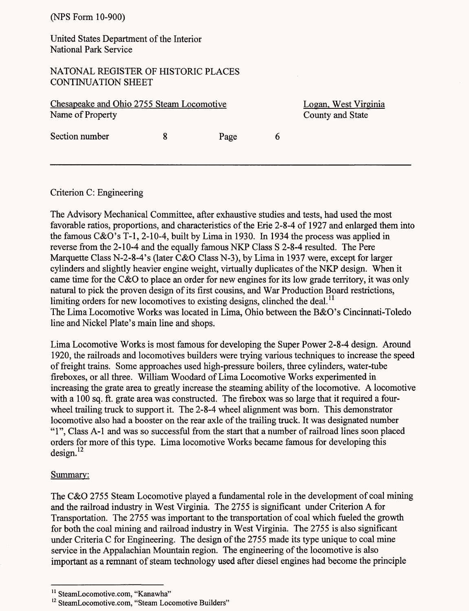United States Department of the Interior National Park Service

#### NATONAL REGISTER OF HISTORIC PLACES CONTINUATION SHEET

| Chesapeake and Ohio 2755 Steam Locomotive |  |      | Logan, West Virginia |                  |
|-------------------------------------------|--|------|----------------------|------------------|
| Name of Property                          |  |      |                      | County and State |
| Section number                            |  | Page |                      |                  |
|                                           |  |      |                      |                  |

Criterion C: Engineering

The Advisory Mechanical Committee, after exhaustive studies and tests, had used the most favorable ratios, proportions, and characteristics of the Erie 2-8-4 of 1927 and enlarged them into the famous C&O's T-l, 2-10-4, built by Lima in 1930. In 1934 the process was applied in reverse from the 2-10-4 and the equally famous NKP Class S 2-8-4 resulted. The Pere Marquette Class N-2-8-4's (later C&O Class N-3), by Lima in 1937 were, except for larger cylinders and slightly heavier engine weight, virtually duplicates of the NKP design. When it came time for the C&O to place an order for new engines for its low grade territory, it was only natural to pick the proven design of its first cousins, and War Production Board restrictions, limiting orders for new locomotives to existing designs, clinched the deal.<sup>11</sup> The Lima Locomotive Works was located in Lima, Ohio between the B&O's Cincinnati-Toledo line and Nickel Plate's main line and shops.

Lima Locomotive Works is most famous for developing the Super Power 2-8-4 design. Around 1920, the railroads and locomotives builders were trying various techniques to increase the speed of freight trains. Some approaches used high-pressure boilers, three cylinders, water-tube fireboxes, or all three. William Woodard of Lima Locomotive Works experimented in increasing the grate area to greatly increase the steaming ability of the locomotive. A locomotive with a 100 sq. ft. grate area was constructed. The firebox was so large that it required a fourwheel trailing truck to support it. The 2-8-4 wheel alignment was born. This demonstrator locomotive also had a booster on the rear axle of the trailing truck. It was designated number "1", Class A-l and was so successful from the start that a number of railroad lines soon placed orders for more of this type. Lima locomotive Works became famous for developing this  $design.<sup>12</sup>$ 

#### Summary:

The C&O 2755 Steam Locomotive played a fundamental role in the development of coal mining and the railroad industry in West Virginia. The 2755 is significant under Criterion A for Transportation. The 2755 was important to the transportation of coal which fueled the growth for both the coal mining and railroad industry in West Virginia. The 2755 is also significant under Criteria C for Engineering. The design of the 2755 made its type unique to coal mine service in the Appalachian Mountain region. The engineering of the locomotive is also important as a remnant of steam technology used after diesel engines had become the principle

<sup>&</sup>lt;sup>11</sup> SteamLocomotive.com, "Kanawha"

<sup>&</sup>lt;sup>12</sup> SteamLocomotive.com, "Steam Locomotive Builders"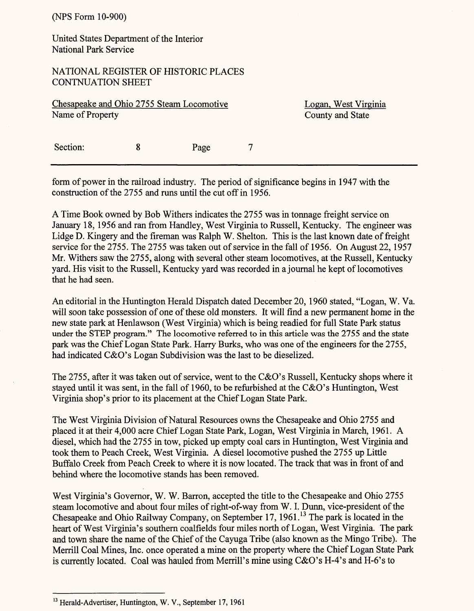United States Department of the Interior National Park Service

NATIONAL REGISTER OF HISTORIC PLACES CONTNUATION SHEET

Chesapeake and Ohio 2755 Steam Locomotive Logan, West Virginia Name of Property County and State Section: 8 Page  $\overline{7}$ 

form of power in the railroad industry. The period of significance begins in 1947 with the construction of the 2755 and runs until the cut off in 1956.

A Time Book owned by Bob Withers indicates the 2755 was in tonnage freight service on January 18, 1956 and ran from Handley, West Virginia to Russell, Kentucky. The engineer was Lidge D. Kingery and the fireman was Ralph W. Shelton. This is the last known date of freight service for the 2755. The 2755 was taken out of service in the fall of 1956. On August 22, 1957 Mr. Withers saw the 2755, along with several other steam locomotives, at the Russell, Kentucky yard. His visit to the Russell, Kentucky yard was recorded in a journal he kept of locomotives that he had seen.

An editorial in the Huntington Herald Dispatch dated December 20, 1960 stated, "Logan, W. Va. will soon take possession of one of these old monsters. It will find a new permanent home in the new state park at Henlawson (West Virginia) which is being readied for full State Park status under the STEP program." The locomotive referred to in this article was the 2755 and the state park was the Chief Logan State Park. Harry Burks, who was one of the engineers for the 2755, had indicated C&O's Logan Subdivision was the last to be dieselized.

The 2755, after it was taken out of service, went to the C&O's Russell, Kentucky shops where it stayed until it was sent, in the fall of 1960, to be refurbished at the C&O's Huntington, West Virginia shop's prior to its placement at the Chief Logan State Park.

The West Virginia Division of Natural Resources owns the Chesapeake and Ohio 2755 and placed it at their 4,000 acre Chief Logan State Park, Logan, West Virginia in March, 1961. A diesel, which had the 2755 in tow, picked up empty coal cars in Huntington, West Virginia and took them to Peach Creek, West Virginia. A diesel locomotive pushed the 2755 up Little Buffalo Creek from Peach Creek to where it is now located. The track that was in front of and behind where the locomotive stands has been removed.

West Virginia's Governor, W. W. Barron, accepted the title to the Chesapeake and Ohio 2755 steam locomotive and about four miles of right-of-way from W. I. Dunn, vice-president of the Chesapeake and Ohio Railway Company, on September 17, 1961.<sup>13</sup> The park is located in the heart of West Virginia's southern coalfields four miles north of Logan, West Virginia. The park and town share the name of the Chief of the Cayuga Tribe (also known as the Mingo Tribe). The Merrill Coal Mines, Inc. once operated a mine on the property where the Chief Logan State Park is currently located. Coal was hauled from Merrill's mine using C&O's H-4's and H-6's to

<sup>&</sup>lt;sup>13</sup> Herald-Advertiser, Huntington, W. V., September 17, 1961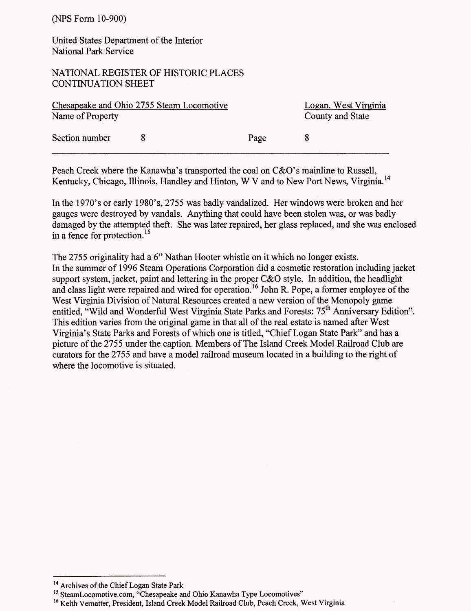United States Department of the Interior National Park Service

#### NATIONAL REGISTER OF HISTORIC PLACES **CONTINUATION SHEET**

| Chesapeake and Ohio 2755 Steam Locomotive |  |      | Logan, West Virginia |
|-------------------------------------------|--|------|----------------------|
| Name of Property                          |  |      | County and State     |
| Section number                            |  | Page |                      |

Peach Creek where the Kanawha's transported the coal on C&O's mainline to Russell, Kentucky, Chicago, Illinois, Handley and Hinton, W V and to New Port News, Virginia.<sup>14</sup>

In the 1970's or early 1980's, 2755 was badly vandalized. Her windows were broken and her gauges were destroyed by vandals. Anything that could have been stolen was, or was badly damaged by the attempted theft. She was later repaired, her glass replaced, and she was enclosed in a fence for protection.<sup>15</sup>

The 2755 originality had a 6" Nathan Hooter whistle on it which no longer exists. In the summer of 1996 Steam Operations Corporation did a cosmetic restoration including jacket support system, jacket, paint and lettering in the proper C&O style. In addition, the headlight and class light were repaired and wired for operation. 16 John R. Pope, a former employee of the West Virginia Division of Natural Resources created a new version of the Monopoly game entitled, "Wild and Wonderful West Virginia State Parks and Forests: 75<sup>th</sup> Anniversary Edition". This edition varies from the original game in that all of the real estate is named after West Virginia's State Parks and Forests of which one is titled, "Chief Logan State Park" and has a picture of the 2755 under the caption. Members of The Island Creek Model Railroad Club are curators for the 2755 and have a model railroad museum located in a building to the right of where the locomotive is situated.

<sup>&</sup>lt;sup>14</sup> Archives of the Chief Logan State Park

<sup>&</sup>lt;sup>15</sup> SteamLocomotive.com, "Chesapeake and Ohio Kanawha Type Locomotives"

<sup>&</sup>lt;sup>16</sup> Keith Vernatter, President, Island Creek Model Railroad Club, Peach Creek, West Virginia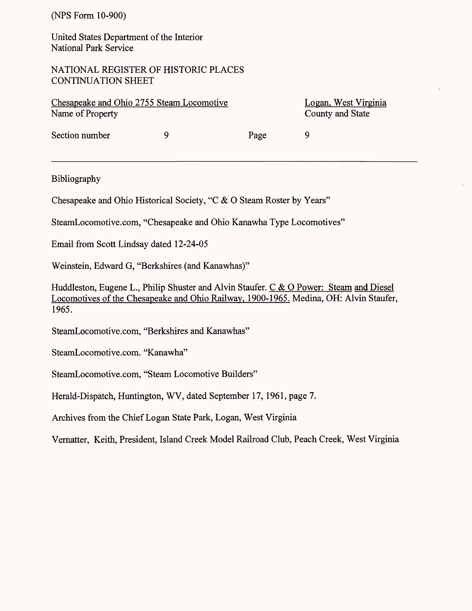United States Department of the Interior National Park Service

#### NATIONAL REGISTER OF HISTORIC PLACES CONTINUATION SHEET

Chesapeake and Ohio 2755 Steam Locomotive Logan, West Virginia Name of Property County and State

| Section number | Page |  |
|----------------|------|--|
|                |      |  |

#### Bibliography

Chesapeake and Ohio Historical Society, "C & O Steam Roster by Years"

SteamLocomotive.com, "Chesapeake and Ohio Kanawha Type Locomotives"

Email from Scott Lindsay dated 12-24-05

Weinstein, Edward G, "Berkshires (and Kanawhas)"

Huddleston, Eugene L., Philip Shuster and Alvin Staufer. C & O Power: Steam and Diesel Locomotives of the Chesapeake and Ohio Railway, 1900-1965. Medina, OH: Alvin Staufer, 1965.

SteamLocomotive.com, "Berkshires and Kanawhas"

SteamLocomotive.com. "Kanawha"

SteamLocomotive.com, "Steam Locomotive Builders"

Herald-Dispatch, Huntington, WV, dated September 17, 1961, page 7.

Archives from the Chief Logan State Park, Logan, West Virginia

Vernatter, Keith, President, Island Creek Model Railroad Club, Peach Creek, West Virginia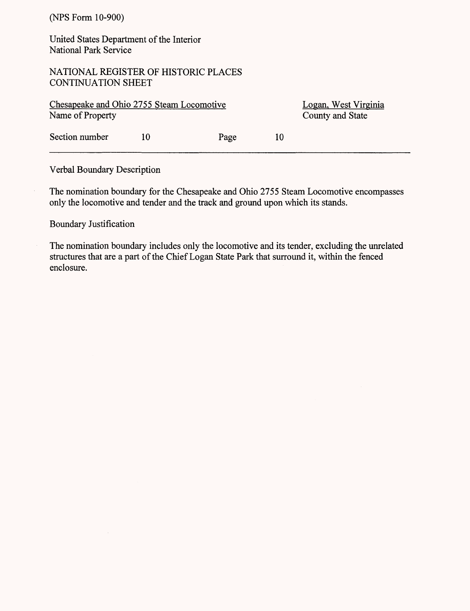United States Department of the Interior National Park Service

## NATIONAL REGISTER OF HISTORIC PLACES CONTINUATION SHEET

| Chesapeake and Ohio 2755 Steam Locomotive |    |      | Logan, West Virginia |  |
|-------------------------------------------|----|------|----------------------|--|
| Name of Property                          |    |      | County and State     |  |
| Section number                            | 10 | Page | 10                   |  |

Verbal Boundary Description

The nomination boundary for the Chesapeake and Ohio 2755 Steam Locomotive encompasses only the locomotive and tender and the track and ground upon which its stands.

## Boundary Justification

The nomination boundary includes only the locomotive and its tender, excluding the unrelated structures that are a part of the Chief Logan State Park that surround it, within the fenced enclosure.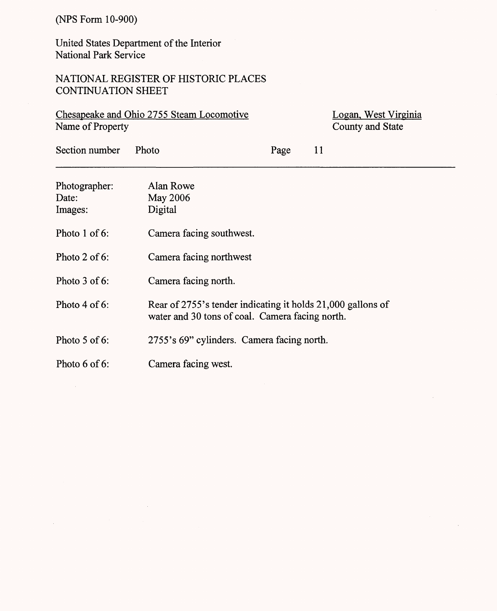United States Department of the Interior National Park Service

# NATIONAL REGISTER OF HISTORIC PLACES CONTINUATION SHEET

Chesapeake and Ohio 2755 Steam Locomotive Logan, West Virginia Name of Property **County** County and State

| Section number                    | Photo                                           | Page | 11                                                          |  |
|-----------------------------------|-------------------------------------------------|------|-------------------------------------------------------------|--|
| Photographer:<br>Date:<br>Images: | Alan Rowe<br>May 2006<br>Digital                |      |                                                             |  |
| Photo 1 of 6:                     | Camera facing southwest.                        |      |                                                             |  |
| Photo 2 of 6:                     | Camera facing northwest                         |      |                                                             |  |
| Photo 3 of 6:                     | Camera facing north.                            |      |                                                             |  |
| Photo 4 of 6:                     | water and 30 tons of coal. Camera facing north. |      | Rear of 2755's tender indicating it holds 21,000 gallons of |  |
| Photo 5 of 6:                     | 2755's 69" cylinders. Camera facing north.      |      |                                                             |  |
| Photo 6 of 6:                     | Camera facing west.                             |      |                                                             |  |